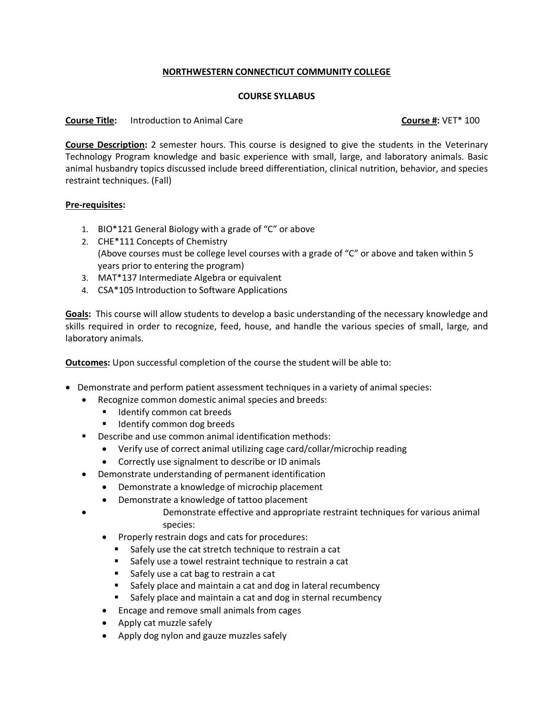## **NORTHWESTERN CONNECTICUT COMMUNITY COLLEGE**

## **COURSE SYLLABUS**

## **Course Title:** Introduction to Animal Care **Course #:** VET\* 100

**Course Description:** 2 semester hours. This course is designed to give the students in the Veterinary Technology Program knowledge and basic experience with small, large, and laboratory animals. Basic animal husbandry topics discussed include breed differentiation, clinical nutrition, behavior, and species restraint techniques. (Fall)

## **Pre-requisites:**

- 1. BIO\*121 General Biology with a grade of "C" or above
- 2. CHE\*111 Concepts of Chemistry (Above courses must be college level courses with a grade of "C" or above and taken within 5 years prior to entering the program)
- 3. MAT\*137 Intermediate Algebra or equivalent
- 4. CSA\*105 Introduction to Software Applications

**Goals:** This course will allow students to develop a basic understanding of the necessary knowledge and skills required in order to recognize, feed, house, and handle the various species of small, large, and laboratory animals.

**Outcomes:** Upon successful completion of the course the student will be able to:

- Demonstrate and perform patient assessment techniques in a variety of animal species:
	- Recognize common domestic animal species and breeds:
		- Identify common cat breeds
		- Identify common dog breeds
	- Describe and use common animal identification methods:
		- Verify use of correct animal utilizing cage card/collar/microchip reading
		- Correctly use signalment to describe or ID animals
	- Demonstrate understanding of permanent identification
		- Demonstrate a knowledge of microchip placement
		- Demonstrate a knowledge of tattoo placement
			- Demonstrate effective and appropriate restraint techniques for various animal species:
		- Properly restrain dogs and cats for procedures:
			- Safely use the cat stretch technique to restrain a cat
			- Safely use a towel restraint technique to restrain a cat
			- Safely use a cat bag to restrain a cat
			- Safely place and maintain a cat and dog in lateral recumbency
			- Safely place and maintain a cat and dog in sternal recumbency
		- Encage and remove small animals from cages
		- Apply cat muzzle safely
		- Apply dog nylon and gauze muzzles safely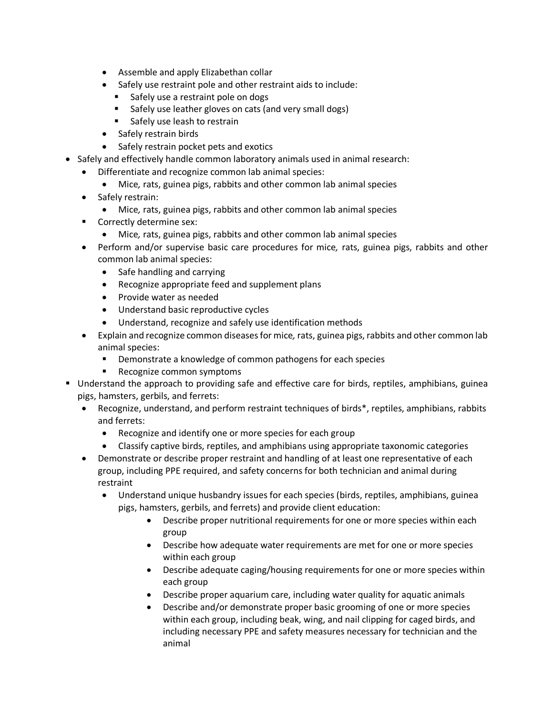- Assemble and apply Elizabethan collar
- Safely use restraint pole and other restraint aids to include:
	- Safely use a restraint pole on dogs
	- Safely use leather gloves on cats (and very small dogs)
	- Safely use leash to restrain
- Safely restrain birds
- Safely restrain pocket pets and exotics
- Safely and effectively handle common laboratory animals used in animal research:
	- Differentiate and recognize common lab animal species:
		- Mice*,* rats, guinea pigs, rabbits and other common lab animal species
	- Safely restrain:
		- Mice*,* rats, guinea pigs, rabbits and other common lab animal species
	- Correctly determine sex:
		- Mice*,* rats, guinea pigs, rabbits and other common lab animal species
	- Perform and/or supervise basic care procedures for mice*,* rats, guinea pigs, rabbits and other common lab animal species:
		- Safe handling and carrying
		- Recognize appropriate feed and supplement plans
		- Provide water as needed
		- Understand basic reproductive cycles
		- Understand, recognize and safely use identification methods
	- Explain and recognize common diseases for mice*,* rats, guinea pigs, rabbits and other common lab animal species:
		- Demonstrate a knowledge of common pathogens for each species
		- Recognize common symptoms
- Understand the approach to providing safe and effective care for birds, reptiles, amphibians, guinea pigs, hamsters, gerbils, and ferrets:
	- Recognize, understand, and perform restraint techniques of birds\*, reptiles, amphibians, rabbits and ferrets:
		- Recognize and identify one or more species for each group
		- Classify captive birds, reptiles, and amphibians using appropriate taxonomic categories
	- Demonstrate or describe proper restraint and handling of at least one representative of each group, including PPE required, and safety concerns for both technician and animal during restraint
		- Understand unique husbandry issues for each species (birds, reptiles, amphibians, guinea pigs, hamsters, gerbils, and ferrets) and provide client education:
			- Describe proper nutritional requirements for one or more species within each group
			- Describe how adequate water requirements are met for one or more species within each group
			- Describe adequate caging/housing requirements for one or more species within each group
			- Describe proper aquarium care, including water quality for aquatic animals
			- Describe and/or demonstrate proper basic grooming of one or more species within each group, including beak, wing, and nail clipping for caged birds, and including necessary PPE and safety measures necessary for technician and the animal